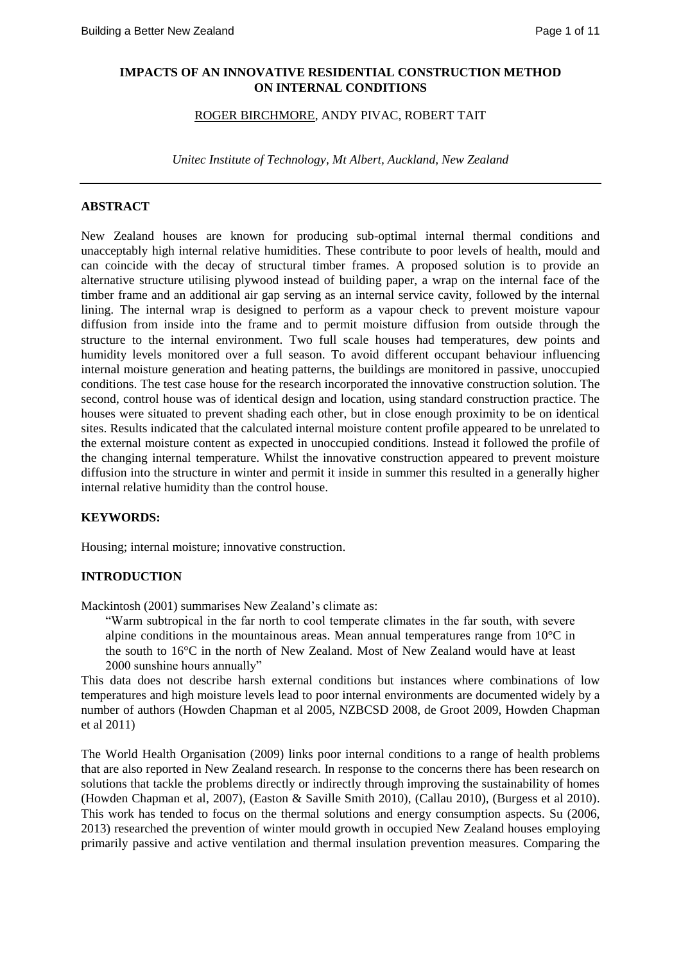#### **IMPACTS OF AN INNOVATIVE RESIDENTIAL CONSTRUCTION METHOD ON INTERNAL CONDITIONS**

#### ROGER BIRCHMORE, ANDY PIVAC, ROBERT TAIT

*Unitec Institute of Technology, Mt Albert, Auckland, New Zealand*

## **ABSTRACT**

New Zealand houses are known for producing sub-optimal internal thermal conditions and unacceptably high internal relative humidities. These contribute to poor levels of health, mould and can coincide with the decay of structural timber frames. A proposed solution is to provide an alternative structure utilising plywood instead of building paper, a wrap on the internal face of the timber frame and an additional air gap serving as an internal service cavity, followed by the internal lining. The internal wrap is designed to perform as a vapour check to prevent moisture vapour diffusion from inside into the frame and to permit moisture diffusion from outside through the structure to the internal environment. Two full scale houses had temperatures, dew points and humidity levels monitored over a full season. To avoid different occupant behaviour influencing internal moisture generation and heating patterns, the buildings are monitored in passive, unoccupied conditions. The test case house for the research incorporated the innovative construction solution. The second, control house was of identical design and location, using standard construction practice. The houses were situated to prevent shading each other, but in close enough proximity to be on identical sites. Results indicated that the calculated internal moisture content profile appeared to be unrelated to the external moisture content as expected in unoccupied conditions. Instead it followed the profile of the changing internal temperature. Whilst the innovative construction appeared to prevent moisture diffusion into the structure in winter and permit it inside in summer this resulted in a generally higher internal relative humidity than the control house.

## **KEYWORDS:**

Housing; internal moisture; innovative construction.

## **INTRODUCTION**

Mackintosh (2001) summarises New Zealand's climate as:

"Warm subtropical in the far north to cool temperate climates in the far south, with severe alpine conditions in the mountainous areas. Mean annual temperatures range from 10°C in the south to 16°C in the north of New Zealand. Most of New Zealand would have at least 2000 sunshine hours annually"

This data does not describe harsh external conditions but instances where combinations of low temperatures and high moisture levels lead to poor internal environments are documented widely by a number of authors (Howden Chapman et al 2005, NZBCSD 2008, de Groot 2009, Howden Chapman et al 2011)

The World Health Organisation (2009) links poor internal conditions to a range of health problems that are also reported in New Zealand research. In response to the concerns there has been research on solutions that tackle the problems directly or indirectly through improving the sustainability of homes (Howden Chapman et al, 2007), (Easton & Saville Smith 2010), (Callau 2010), (Burgess et al 2010). This work has tended to focus on the thermal solutions and energy consumption aspects. Su (2006, 2013) researched the prevention of winter mould growth in occupied New Zealand houses employing primarily passive and active ventilation and thermal insulation prevention measures. Comparing the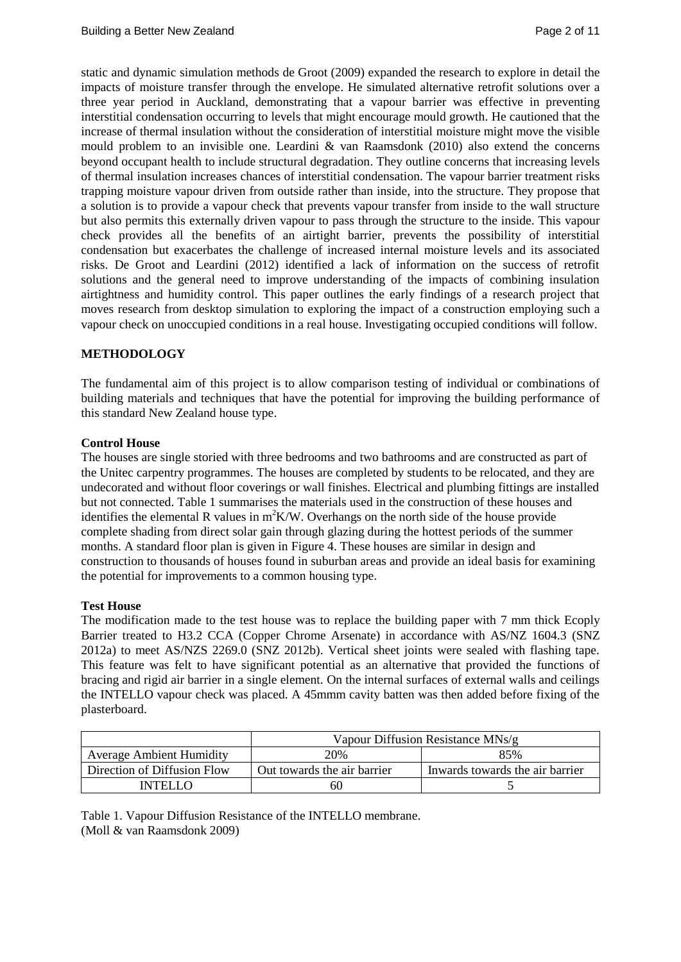static and dynamic simulation methods de Groot (2009) expanded the research to explore in detail the impacts of moisture transfer through the envelope. He simulated alternative retrofit solutions over a three year period in Auckland, demonstrating that a vapour barrier was effective in preventing interstitial condensation occurring to levels that might encourage mould growth. He cautioned that the increase of thermal insulation without the consideration of interstitial moisture might move the visible mould problem to an invisible one. Leardini  $\&$  [van Raamsdonk](https://researchspace.auckland.ac.nz/discover?fq=author_filter:leardini,%20pm%7C%7C%7CLeardini,%5C+PM) (2010) also extend the concerns beyond occupant health to include structural degradation. They outline concerns that increasing levels of thermal insulation increases chances of interstitial condensation. The vapour barrier treatment risks trapping moisture vapour driven from outside rather than inside, into the structure. They propose that a solution is to provide a vapour check that prevents vapour transfer from inside to the wall structure but also permits this externally driven vapour to pass through the structure to the inside. This vapour check provides all the benefits of an airtight barrier, prevents the possibility of interstitial condensation but exacerbates the challenge of increased internal moisture levels and its associated risks. De Groot and Leardini (2012) identified a lack of information on the success of retrofit solutions and the general need to improve understanding of the impacts of combining insulation airtightness and humidity control. This paper outlines the early findings of a research project that moves research from desktop simulation to exploring the impact of a construction employing such a vapour check on unoccupied conditions in a real house. Investigating occupied conditions will follow.

# **METHODOLOGY**

The fundamental aim of this project is to allow comparison testing of individual or combinations of building materials and techniques that have the potential for improving the building performance of this standard New Zealand house type.

## **Control House**

The houses are single storied with three bedrooms and two bathrooms and are constructed as part of the Unitec carpentry programmes. The houses are completed by students to be relocated, and they are undecorated and without floor coverings or wall finishes. Electrical and plumbing fittings are installed but not connected. Table 1 summarises the materials used in the construction of these houses and identifies the elemental R values in  $m^2K/W$ . Overhangs on the north side of the house provide complete shading from direct solar gain through glazing during the hottest periods of the summer months. A standard floor plan is given in Figure 4. These houses are similar in design and construction to thousands of houses found in suburban areas and provide an ideal basis for examining the potential for improvements to a common housing type.

#### **Test House**

The modification made to the test house was to replace the building paper with 7 mm thick Ecoply Barrier treated to H3.2 CCA (Copper Chrome Arsenate) in accordance with AS/NZ 1604.3 (SNZ 2012a) to meet AS/NZS 2269.0 (SNZ 2012b). Vertical sheet joints were sealed with flashing tape. This feature was felt to have significant potential as an alternative that provided the functions of bracing and rigid air barrier in a single element. On the internal surfaces of external walls and ceilings the INTELLO vapour check was placed. A 45mmm cavity batten was then added before fixing of the plasterboard.

|                                 | Vapour Diffusion Resistance MNs/g |                                 |  |  |  |  |
|---------------------------------|-----------------------------------|---------------------------------|--|--|--|--|
| <b>Average Ambient Humidity</b> | 20%                               | 85%                             |  |  |  |  |
| Direction of Diffusion Flow     | Out towards the air barrier       | Inwards towards the air barrier |  |  |  |  |
| INTFI I O                       | 60                                |                                 |  |  |  |  |

Table 1. Vapour Diffusion Resistance of the INTELLO membrane. (Moll & van Raamsdonk 2009)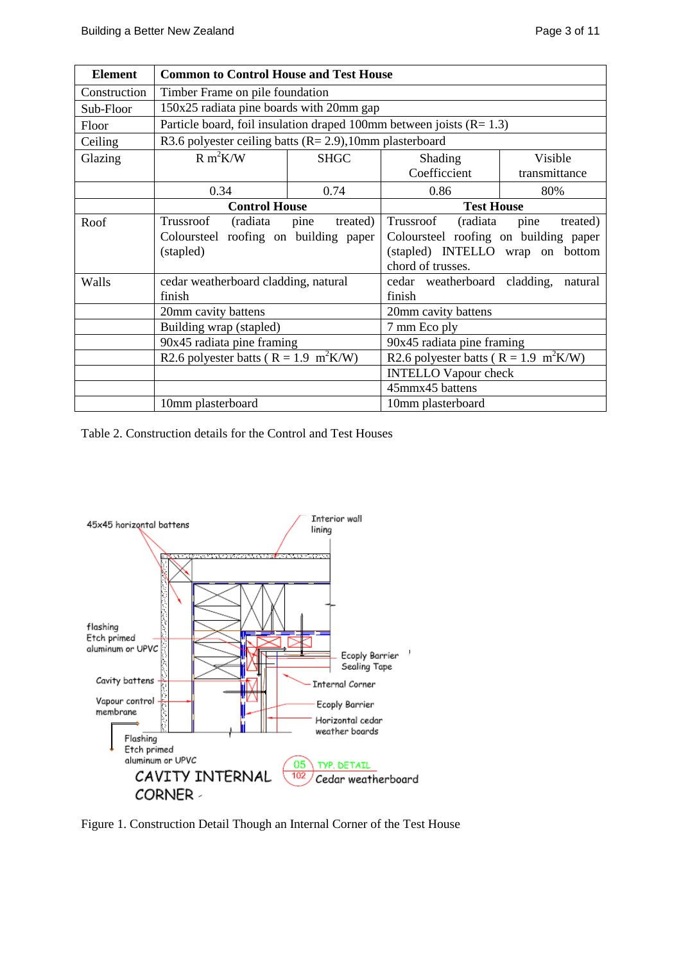| <b>Element</b> | <b>Common to Control House and Test House</b>                               |                  |                                                                                                                                                |               |  |  |  |
|----------------|-----------------------------------------------------------------------------|------------------|------------------------------------------------------------------------------------------------------------------------------------------------|---------------|--|--|--|
| Construction   | Timber Frame on pile foundation                                             |                  |                                                                                                                                                |               |  |  |  |
| Sub-Floor      | 150x25 radiata pine boards with 20mm gap                                    |                  |                                                                                                                                                |               |  |  |  |
| Floor          | Particle board, foil insulation draped 100mm between joists $(R=1.3)$       |                  |                                                                                                                                                |               |  |  |  |
| Ceiling        | R3.6 polyester ceiling batts ( $R = 2.9$ ), 10mm plasterboard               |                  |                                                                                                                                                |               |  |  |  |
| Glazing        | $R m^2K/W$                                                                  | <b>SHGC</b>      | <b>Shading</b>                                                                                                                                 | Visible       |  |  |  |
|                |                                                                             |                  | Coefficcient                                                                                                                                   | transmittance |  |  |  |
|                | 0.34<br>0.74                                                                |                  | 0.86                                                                                                                                           | 80%           |  |  |  |
|                | <b>Control House</b>                                                        |                  | <b>Test House</b>                                                                                                                              |               |  |  |  |
| Roof           | Trussroof<br>(radiata<br>Coloursteel roofing on building paper<br>(stapled) | treated)<br>pine | Trussroof<br>(radiata<br>pine<br>treated)<br>Coloursteel roofing on building paper<br>(stapled) INTELLO<br>wrap on bottom<br>chord of trusses. |               |  |  |  |
| Walls          | cedar weatherboard cladding, natural<br>finish                              |                  | cedar weatherboard cladding,<br>finish                                                                                                         | natural       |  |  |  |
|                | 20mm cavity battens                                                         |                  | 20mm cavity battens                                                                                                                            |               |  |  |  |
|                | Building wrap (stapled)                                                     |                  | 7 mm Eco ply                                                                                                                                   |               |  |  |  |
|                | 90x45 radiata pine framing                                                  |                  | 90x45 radiata pine framing                                                                                                                     |               |  |  |  |
|                | R2.6 polyester batts ( $R = 1.9$ m <sup>2</sup> K/W)                        |                  | R2.6 polyester batts ( $R = 1.9$ m <sup>2</sup> K/W)                                                                                           |               |  |  |  |
|                |                                                                             |                  | <b>INTELLO Vapour check</b>                                                                                                                    |               |  |  |  |
|                |                                                                             |                  | 45mmx45 battens                                                                                                                                |               |  |  |  |
|                | 10mm plasterboard                                                           |                  | 10mm plasterboard                                                                                                                              |               |  |  |  |

Table 2. Construction details for the Control and Test Houses



Figure 1. Construction Detail Though an Internal Corner of the Test House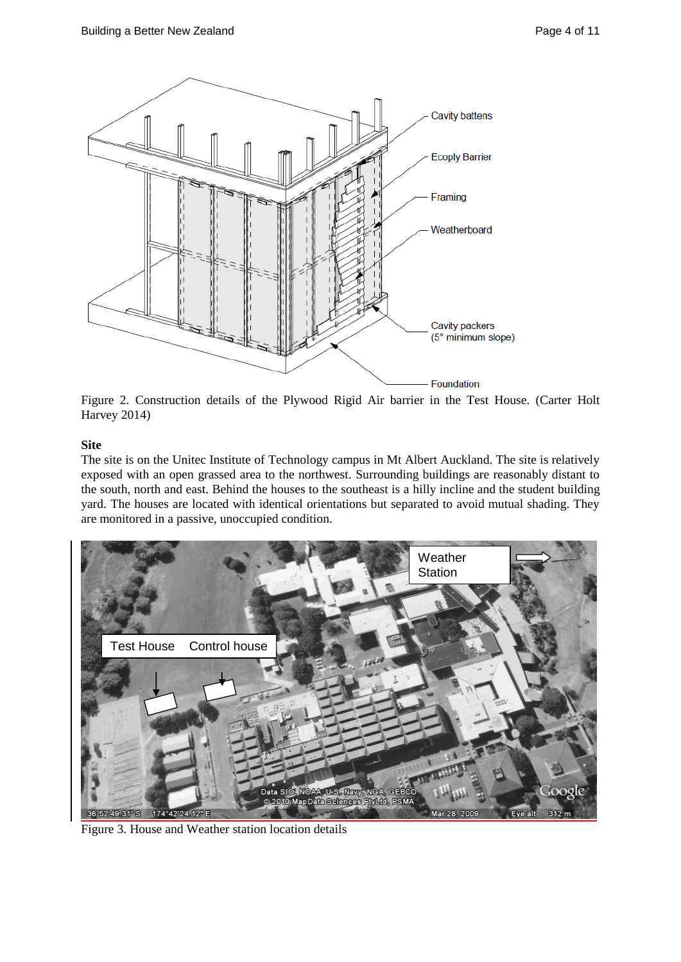

Figure 2. Construction details of the Plywood Rigid Air barrier in the Test House. (Carter Holt Harvey 2014)

# **Site**

The site is on the Unitec Institute of Technology campus in Mt Albert Auckland. The site is relatively exposed with an open grassed area to the northwest. Surrounding buildings are reasonably distant to the south, north and east. Behind the houses to the southeast is a hilly incline and the student building yard. The houses are located with identical orientations but separated to avoid mutual shading. They are monitored in a passive, unoccupied condition.



Figure 3. House and Weather station location details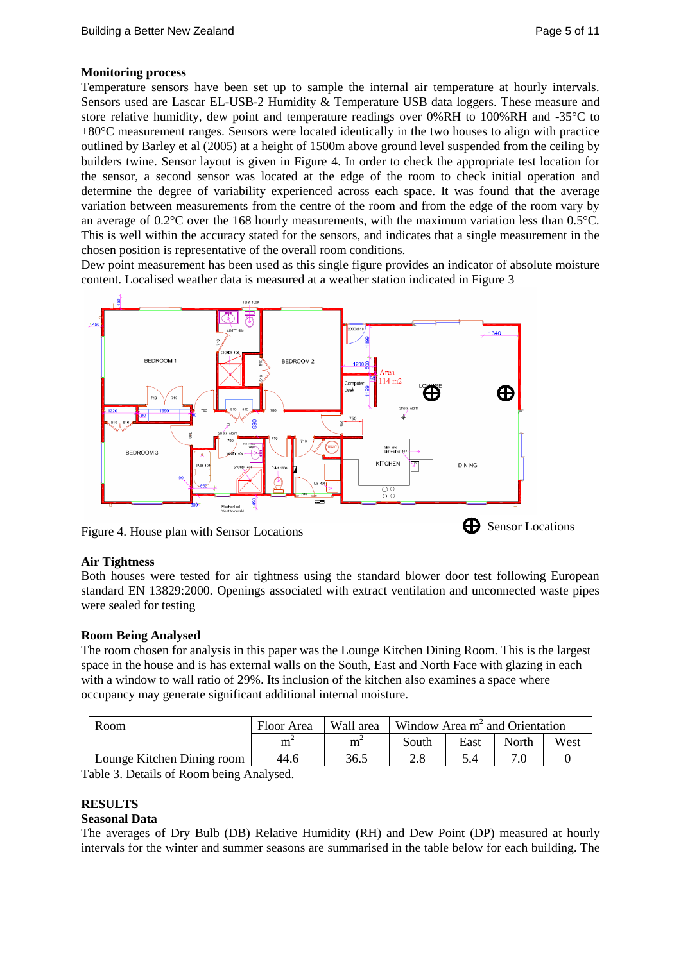#### **Monitoring process**

Temperature sensors have been set up to sample the internal air temperature at hourly intervals. Sensors used are Lascar EL-USB-2 Humidity & Temperature USB data loggers. These measure and store relative humidity, dew point and temperature readings over 0%RH to 100%RH and -35°C to +80°C measurement ranges. Sensors were located identically in the two houses to align with practice outlined by Barley et al (2005) at a height of 1500m above ground level suspended from the ceiling by builders twine. Sensor layout is given in Figure 4. In order to check the appropriate test location for the sensor, a second sensor was located at the edge of the room to check initial operation and determine the degree of variability experienced across each space. It was found that the average variation between measurements from the centre of the room and from the edge of the room vary by an average of  $0.2^{\circ}$ C over the 168 hourly measurements, with the maximum variation less than  $0.5^{\circ}$ C. This is well within the accuracy stated for the sensors, and indicates that a single measurement in the chosen position is representative of the overall room conditions.

Dew point measurement has been used as this single figure provides an indicator of absolute moisture content. Localised weather data is measured at a weather station indicated in Figure 3



Figure 4. House plan with Sensor Locations

## **Air Tightness**

Both houses were tested for air tightness using the standard blower door test following European standard EN 13829:2000. Openings associated with extract ventilation and unconnected waste pipes were sealed for testing

## **Room Being Analysed**

The room chosen for analysis in this paper was the Lounge Kitchen Dining Room. This is the largest space in the house and is has external walls on the South, East and North Face with glazing in each with a window to wall ratio of 29%. Its inclusion of the kitchen also examines a space where occupancy may generate significant additional internal moisture.

| Room                       | Floor Area | Wall area | Window Area $m2$ and Orientation |      |       |      |
|----------------------------|------------|-----------|----------------------------------|------|-------|------|
|                            | m          |           | South                            | East | North | West |
| Lounge Kitchen Dining room | 44.6       | 36.5      |                                  |      |       |      |

Table 3. Details of Room being Analysed.

## **RESULTS**

## **Seasonal Data**

The averages of Dry Bulb (DB) Relative Humidity (RH) and Dew Point (DP) measured at hourly intervals for the winter and summer seasons are summarised in the table below for each building. The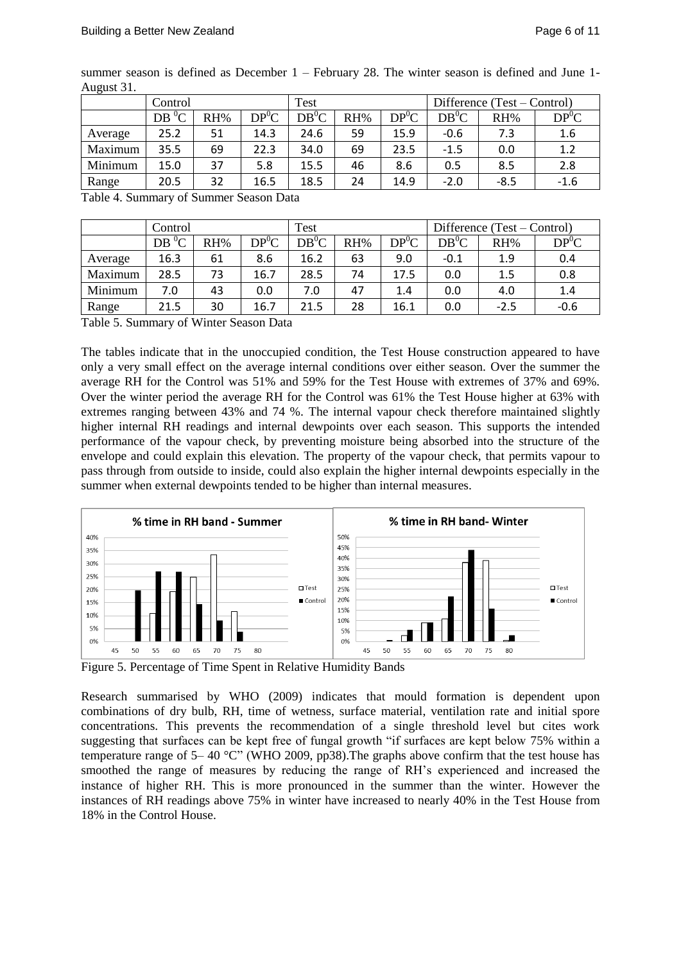| $\ldots$ |         |     |           |         |     |           |                             |        |           |
|----------|---------|-----|-----------|---------|-----|-----------|-----------------------------|--------|-----------|
|          | Control |     |           | Test    |     |           | Difference (Test – Control) |        |           |
|          | $DB^0C$ | RH% | $DP^{0}C$ | $DB^0C$ | RH% | $DP^{0}C$ | $DB^{0}C$                   | RH%    | $DP^{0}C$ |
| Average  | 25.2    | 51  | 14.3      | 24.6    | 59  | 15.9      | $-0.6$                      | 7.3    | 1.6       |
| Maximum  | 35.5    | 69  | 22.3      | 34.0    | 69  | 23.5      | $-1.5$                      | 0.0    | 1.2       |
| Minimum  | 15.0    | 37  | 5.8       | 15.5    | 46  | 8.6       | 0.5                         | 8.5    | 2.8       |
| Range    | 20.5    | 32  | 16.5      | 18.5    | 24  | 14.9      | $-2.0$                      | $-8.5$ | $-1.6$    |

summer season is defined as December 1 – February 28. The winter season is defined and June 1- August 31.

Table 4. Summary of Summer Season Data

|         | Control |     |           | Test    |     |           | Difference (Test – Control) |        |           |
|---------|---------|-----|-----------|---------|-----|-----------|-----------------------------|--------|-----------|
|         | $DB^0C$ | RH% | $DP^{0}C$ | $DB^0C$ | RH% | $DP^{0}C$ | $DB^0C$                     | RH%    | $DP^{0}C$ |
| Average | 16.3    | 61  | 8.6       | 16.2    | 63  | 9.0       | $-0.1$                      | 1.9    | 0.4       |
| Maximum | 28.5    | 73  | 16.7      | 28.5    | 74  | 17.5      | 0.0                         | 1.5    | 0.8       |
| Minimum | 7.0     | 43  | 0.0       | 7.0     | 47  | 1.4       | 0.0                         | 4.0    | 1.4       |
| Range   | 21.5    | 30  | 16.7      | 21.5    | 28  | 16.1      | 0.0                         | $-2.5$ | $-0.6$    |

Table 5. Summary of Winter Season Data

The tables indicate that in the unoccupied condition, the Test House construction appeared to have only a very small effect on the average internal conditions over either season. Over the summer the average RH for the Control was 51% and 59% for the Test House with extremes of 37% and 69%. Over the winter period the average RH for the Control was 61% the Test House higher at 63% with extremes ranging between 43% and 74 %. The internal vapour check therefore maintained slightly higher internal RH readings and internal dewpoints over each season. This supports the intended performance of the vapour check, by preventing moisture being absorbed into the structure of the envelope and could explain this elevation. The property of the vapour check, that permits vapour to pass through from outside to inside, could also explain the higher internal dewpoints especially in the summer when external dewpoints tended to be higher than internal measures.



Figure 5. Percentage of Time Spent in Relative Humidity Bands

Research summarised by WHO (2009) indicates that mould formation is dependent upon combinations of dry bulb, RH, time of wetness, surface material, ventilation rate and initial spore concentrations. This prevents the recommendation of a single threshold level but cites work suggesting that surfaces can be kept free of fungal growth "if surfaces are kept below 75% within a temperature range of 5– 40 °C" (WHO 2009, pp38).The graphs above confirm that the test house has smoothed the range of measures by reducing the range of RH's experienced and increased the instance of higher RH. This is more pronounced in the summer than the winter. However the instances of RH readings above 75% in winter have increased to nearly 40% in the Test House from 18% in the Control House.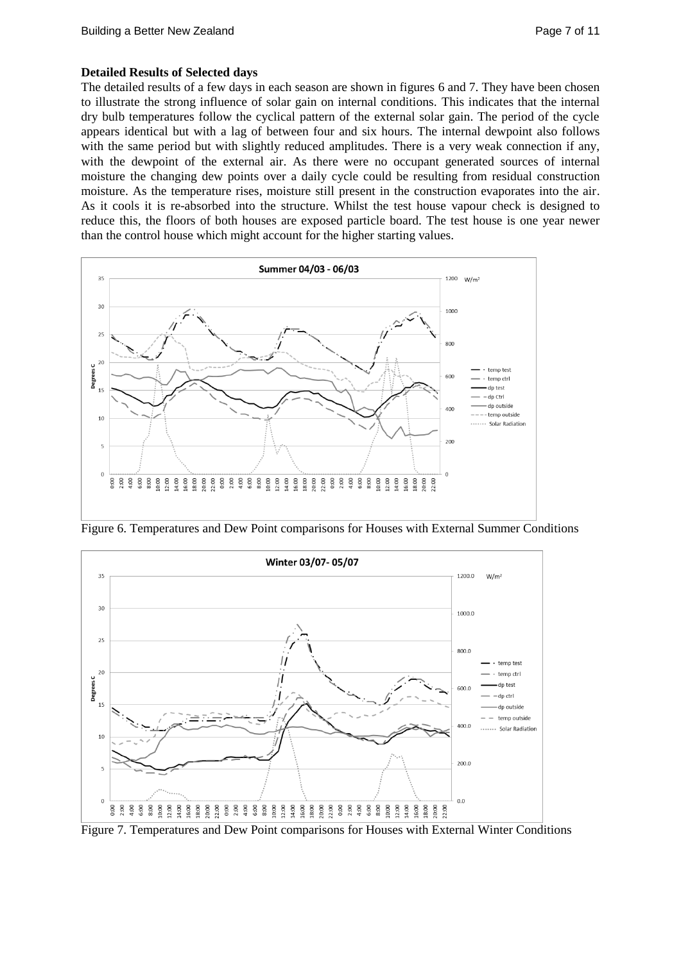## **Detailed Results of Selected days**

The detailed results of a few days in each season are shown in figures 6 and 7. They have been chosen to illustrate the strong influence of solar gain on internal conditions. This indicates that the internal dry bulb temperatures follow the cyclical pattern of the external solar gain. The period of the cycle appears identical but with a lag of between four and six hours. The internal dewpoint also follows with the same period but with slightly reduced amplitudes. There is a very weak connection if any, with the dewpoint of the external air. As there were no occupant generated sources of internal moisture the changing dew points over a daily cycle could be resulting from residual construction moisture. As the temperature rises, moisture still present in the construction evaporates into the air. As it cools it is re-absorbed into the structure. Whilst the test house vapour check is designed to reduce this, the floors of both houses are exposed particle board. The test house is one year newer than the control house which might account for the higher starting values.



Figure 6. Temperatures and Dew Point comparisons for Houses with External Summer Conditions



Figure 7. Temperatures and Dew Point comparisons for Houses with External Winter Conditions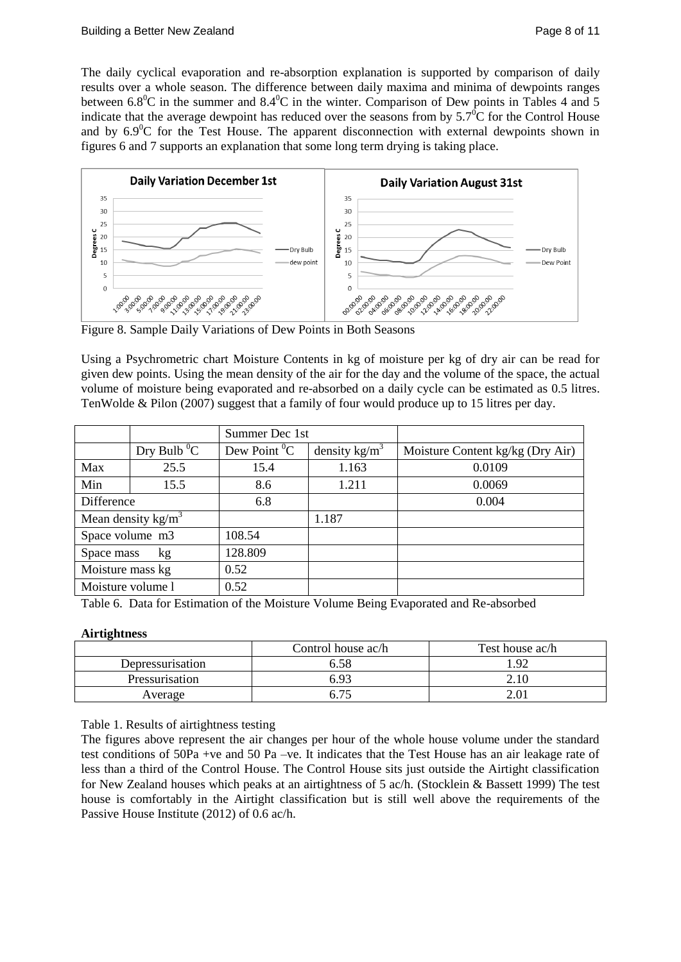The daily cyclical evaporation and re-absorption explanation is supported by comparison of daily results over a whole season. The difference between daily maxima and minima of dewpoints ranges between 6.8<sup>o</sup>C in the summer and 8.4<sup>o</sup>C in the winter. Comparison of Dew points in Tables 4 and 5 indicate that the average dewpoint has reduced over the seasons from by  $5.7^{\circ}$ C for the Control House and by  $6.9^{\circ}$ C for the Test House. The apparent disconnection with external dewpoints shown in figures 6 and 7 supports an explanation that some long term drying is taking place.



Figure 8. Sample Daily Variations of Dew Points in Both Seasons

Using a Psychrometric chart Moisture Contents in kg of moisture per kg of dry air can be read for given dew points. Using the mean density of the air for the day and the volume of the space, the actual volume of moisture being evaporated and re-absorbed on a daily cycle can be estimated as 0.5 litres. TenWolde & Pilon (2007) suggest that a family of four would produce up to 15 litres per day.

|                   |                           | Summer Dec 1st      |                         |                                  |
|-------------------|---------------------------|---------------------|-------------------------|----------------------------------|
|                   | Dry Bulb $\mathrm{^{0}C}$ | Dew Point ${}^{0}C$ | density $\text{kg/m}^3$ | Moisture Content kg/kg (Dry Air) |
| Max               | 25.5                      | 15.4                | 1.163                   | 0.0109                           |
| Min               | 15.5                      | 8.6                 | 1.211                   | 0.0069                           |
| Difference        |                           | 6.8                 |                         | 0.004                            |
|                   | Mean density $kg/m3$      |                     | 1.187                   |                                  |
| Space volume m3   |                           | 108.54              |                         |                                  |
| Space mass        | kg                        | 128.809             |                         |                                  |
| Moisture mass kg  |                           | 0.52                |                         |                                  |
| Moisture volume l |                           | 0.52                |                         |                                  |

Table 6. Data for Estimation of the Moisture Volume Being Evaporated and Re-absorbed

# **Airtightness**

|                  | Control house ac/h | Test house ac/h |
|------------------|--------------------|-----------------|
| Depressurisation |                    | ഹ               |
| Pressurisation   |                    | 2.10            |
| Average          |                    |                 |

Table 1. Results of airtightness testing

The figures above represent the air changes per hour of the whole house volume under the standard test conditions of 50Pa +ve and 50 Pa –ve. It indicates that the Test House has an air leakage rate of less than a third of the Control House. The Control House sits just outside the Airtight classification for New Zealand houses which peaks at an airtightness of 5 ac/h. (Stocklein & Bassett 1999) The test house is comfortably in the Airtight classification but is still well above the requirements of the Passive House Institute (2012) of 0.6 ac/h.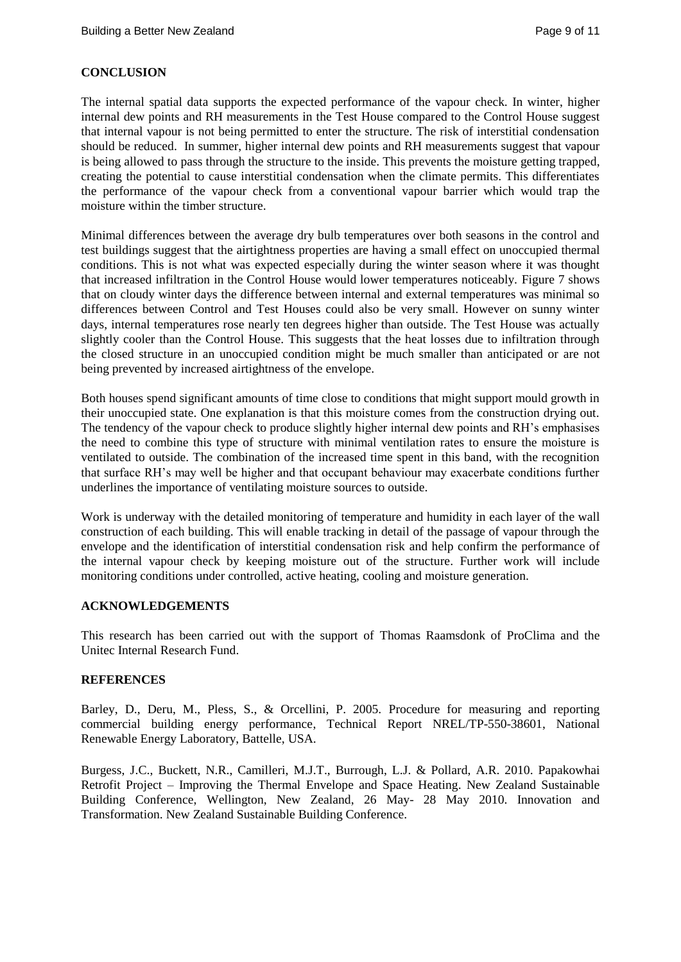# **CONCLUSION**

The internal spatial data supports the expected performance of the vapour check. In winter, higher internal dew points and RH measurements in the Test House compared to the Control House suggest that internal vapour is not being permitted to enter the structure. The risk of interstitial condensation should be reduced. In summer, higher internal dew points and RH measurements suggest that vapour is being allowed to pass through the structure to the inside. This prevents the moisture getting trapped, creating the potential to cause interstitial condensation when the climate permits. This differentiates the performance of the vapour check from a conventional vapour barrier which would trap the moisture within the timber structure.

Minimal differences between the average dry bulb temperatures over both seasons in the control and test buildings suggest that the airtightness properties are having a small effect on unoccupied thermal conditions. This is not what was expected especially during the winter season where it was thought that increased infiltration in the Control House would lower temperatures noticeably. Figure 7 shows that on cloudy winter days the difference between internal and external temperatures was minimal so differences between Control and Test Houses could also be very small. However on sunny winter days, internal temperatures rose nearly ten degrees higher than outside. The Test House was actually slightly cooler than the Control House. This suggests that the heat losses due to infiltration through the closed structure in an unoccupied condition might be much smaller than anticipated or are not being prevented by increased airtightness of the envelope.

Both houses spend significant amounts of time close to conditions that might support mould growth in their unoccupied state. One explanation is that this moisture comes from the construction drying out. The tendency of the vapour check to produce slightly higher internal dew points and RH's emphasises the need to combine this type of structure with minimal ventilation rates to ensure the moisture is ventilated to outside. The combination of the increased time spent in this band, with the recognition that surface RH's may well be higher and that occupant behaviour may exacerbate conditions further underlines the importance of ventilating moisture sources to outside.

Work is underway with the detailed monitoring of temperature and humidity in each layer of the wall construction of each building. This will enable tracking in detail of the passage of vapour through the envelope and the identification of interstitial condensation risk and help confirm the performance of the internal vapour check by keeping moisture out of the structure. Further work will include monitoring conditions under controlled, active heating, cooling and moisture generation.

## **ACKNOWLEDGEMENTS**

This research has been carried out with the support of Thomas Raamsdonk of ProClima and the Unitec Internal Research Fund.

## **REFERENCES**

Barley, D., Deru, M., Pless, S., & Orcellini, P. 2005. Procedure for measuring and reporting commercial building energy performance, Technical Report NREL/TP-550-38601, National Renewable Energy Laboratory, Battelle, USA.

Burgess, J.C., Buckett, N.R., Camilleri, M.J.T., Burrough, L.J. & Pollard, A.R. 2010. Papakowhai Retrofit Project – Improving the Thermal Envelope and Space Heating. New Zealand Sustainable Building Conference, Wellington, New Zealand, 26 May- 28 May 2010. Innovation and Transformation. New Zealand Sustainable Building Conference.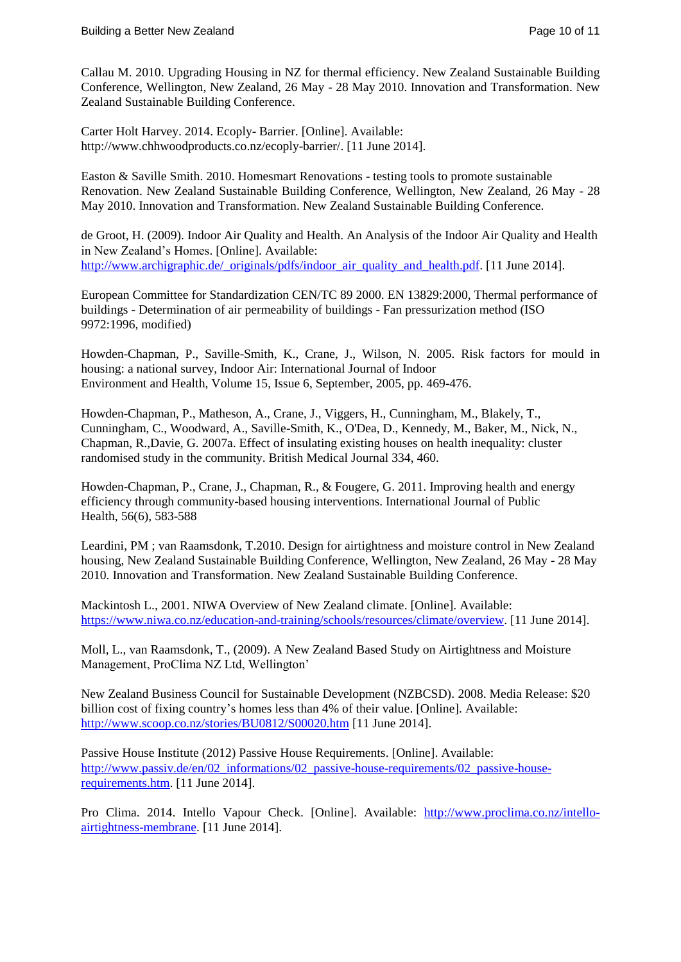Callau M. 2010. Upgrading Housing in NZ for thermal efficiency. New Zealand Sustainable Building Conference, Wellington, New Zealand, 26 May - 28 May 2010. Innovation and Transformation. New Zealand Sustainable Building Conference.

Carter Holt Harvey. 2014. Ecoply- Barrier. [Online]. Available: http://www.chhwoodproducts.co.nz/ecoply-barrier/. [11 June 2014].

Easton & Saville Smith. 2010. Homesmart Renovations - testing tools to promote sustainable Renovation. New Zealand Sustainable Building Conference, Wellington, New Zealand, 26 May - 28 May 2010. Innovation and Transformation. New Zealand Sustainable Building Conference.

de Groot, H. (2009). Indoor Air Quality and Health. An Analysis of the Indoor Air Quality and Health in New Zealand's Homes. [Online]. Available: [http://www.archigraphic.de/\\_originals/pdfs/indoor\\_air\\_quality\\_and\\_health.pdf.](http://www.archigraphic.de/_originals/pdfs/indoor_air_quality_and_health.pdf) [11 June 2014].

European Committee for Standardization CEN/TC 89 2000. EN 13829:2000, Thermal performance of buildings - Determination of air permeability of buildings - Fan pressurization method (ISO 9972:1996, modified)

Howden-Chapman, P., Saville-Smith, K., Crane, J., Wilson, N. 2005. Risk factors for mould in housing: a national survey, Indoor Air: International Journal of Indoor Environment and Health, Volume 15, Issue 6, September, 2005, pp. 469-476.

Howden-Chapman, P., Matheson, A., Crane, J., Viggers, H., Cunningham, M., Blakely, T., Cunningham, C., Woodward, A., Saville-Smith, K., O'Dea, D., Kennedy, M., Baker, M., Nick, N., Chapman, R.,Davie, G. 2007a. Effect of insulating existing houses on health inequality: cluster randomised study in the community. British Medical Journal 334, 460.

Howden-Chapman, P., Crane, J., Chapman, R., & Fougere, G. 2011. Improving health and energy efficiency through community-based housing interventions. International Journal of Public Health, 56(6), 583-588

[Leardini, PM](https://researchspace.auckland.ac.nz/discover?fq=author_filter:leardini,%20pm%7C%7C%7CLeardini,%5C+PM) ; [van Raamsdonk, T.](https://researchspace.auckland.ac.nz/discover?fq=author_filter:van%20raamsdonk,%20t%7C%7C%7Cvan%5C+Raamsdonk,%5C+T)2010. Design for airtightness and moisture control in New Zealand housing, New Zealand Sustainable Building Conference, Wellington, New Zealand, 26 May - 28 May 2010. Innovation and Transformation. New Zealand Sustainable Building Conference.

Mackintosh L., 2001. NIWA Overview of New Zealand climate. [Online]. Available: [https://www.niwa.co.nz/education-and-training/schools/resources/climate/overview.](https://www.niwa.co.nz/education-and-training/schools/resources/climate/overview) [11 June 2014].

Moll, L., van Raamsdonk, T., (2009). A New Zealand Based Study on Airtightness and Moisture Management, ProClima NZ Ltd, Wellington'

New Zealand Business Council for Sustainable Development (NZBCSD). 2008. Media Release: \$20 billion cost of fixing country's homes less than 4% of their value. [Online]. Available: <http://www.scoop.co.nz/stories/BU0812/S00020.htm> [11 June 2014].

Passive House Institute (2012) Passive House Requirements. [Online]. Available: http://www.passiv.de/en/02 informations/02 passive-house-requirements/02 passive-house[requirements.htm.](http://www.passiv.de/en/02_informations/02_passive-house-requirements/02_passive-house-requirements.htm) [11 June 2014].

Pro Clima. 2014. Intello Vapour Check. [Online]. Available: [http://www.proclima.co.nz/intello](http://www.proclima.co.nz/intello-airtightness-membrane)[airtightness-membrane.](http://www.proclima.co.nz/intello-airtightness-membrane) [11 June 2014].